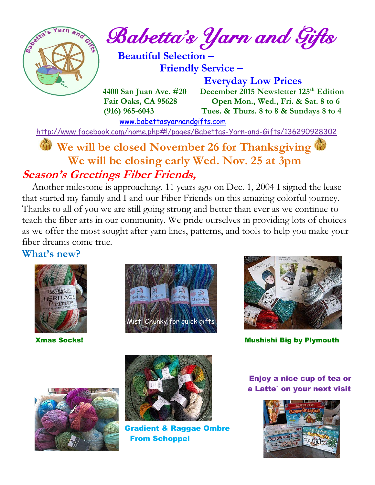

*Babetta's Yarn and Gifts* 

 **Beautiful Selection – Friendly Service –**

[www.babettasyarnandgifts.com](http://www.babettasyarnandgifts.com/)

 **Everyday Low Prices 4400 San Juan Ave. #20 December 2015 Newsletter 125<sup>th</sup> Edition Fair Oaks, CA 95628 Open Mon., Wed., Fri. & Sat. 8 to 6 (916) 965-6043 Tues. & Thurs. 8 to 8 & Sundays 8 to 4** 

<http://www.facebook.com/home.php#!/pages/Babettas-Yarn-and-Gifts/136290928302>

### **We will be closed November 26 for Thanksgiving We will be closing early Wed. Nov. 25 at 3pm Season's Greetings Fiber Friends,**

 Another milestone is approaching. 11 years ago on Dec. 1, 2004 I signed the lease that started my family and I and our Fiber Friends on this amazing colorful journey. Thanks to all of you we are still going strong and better than ever as we continue to teach the fiber arts in our community. We pride ourselves in providing lots of choices as we offer the most sought after yarn lines, patterns, and tools to help you make your fiber dreams come true.

#### **What's new?**







**The Socks!** Mushishi Big by Plymouth





 Gradient & Raggae Ombre From Schoppel

Enjoy a nice cup of tea or a Latte` on your next visit

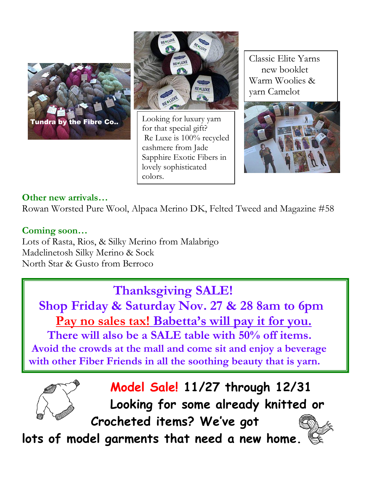



Looking for luxury yarn for that special gift? Re Luxe is 100% recycled cashmere from Jade Sapphire Exotic Fibers in lovely sophisticated colors.

Classic Elite Yarns new booklet Warm Woolies & yarn Camelot



#### **Other new arrivals…**

Rowan Worsted Pure Wool, Alpaca Merino DK, Felted Tweed and Magazine #58

#### **Coming soon…**

Lots of Rasta, Rios, & Silky Merino from Malabrigo Madelinetosh Silky Merino & Sock North Star & Gusto from Berroco

## **Thanksgiving SALE!**

 **Shop Friday & Saturday Nov. 27 & 28 8am to 6pm Pay no sales tax! Babetta's will pay it for you. There will also be a SALE table with 50% off items. Avoid the crowds at the mall and come sit and enjoy a beverage with other Fiber Friends in all the soothing beauty that is yarn.**



## **Model Sale! 11/27 through 12/31**

**Looking for some already knitted or**

 **Crocheted items? We've got**

**lots of model garments that need a new home.**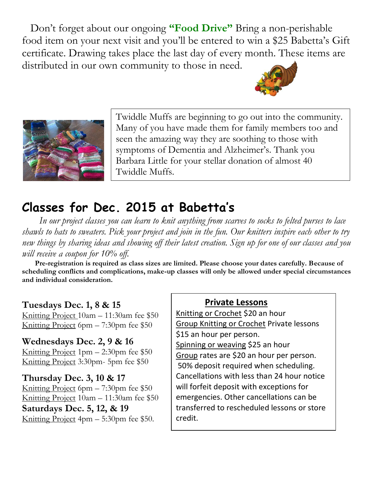Don't forget about our ongoing **"Food Drive"** Bring a non-perishable food item on your next visit and you'll be entered to win a \$25 Babetta's Gift certificate. Drawing takes place the last day of every month. These items are distributed in our own community to those in need.





Twiddle Muffs are beginning to go out into the community. Many of you have made them for family members too and seen the amazing way they are soothing to those with symptoms of Dementia and Alzheimer's. Thank you Barbara Little for your stellar donation of almost 40 Twiddle Muffs.

# **Classes for Dec. 2015 at Babetta's**

 *In our project classes you can learn to knit anything from scarves to socks to felted purses to lace shawls to hats to sweaters. Pick your project and join in the fun. Our knitters inspire each other to try new things by sharing ideas and showing off their latest creation. Sign up for one of our classes and you will receive a coupon for 10% off.*

 **Pre-registration is required as class sizes are limited. Please choose your dates carefully. Because of scheduling conflicts and complications, make-up classes will only be allowed under special circumstances and individual consideration.**

#### **Tuesdays Dec. 1, 8 & 15**

Knitting Project 10am – 11:30am fee \$50 Knitting Project 6pm – 7:30pm fee \$50

#### **Wednesdays Dec. 2, 9 & 16**

Knitting Project 1pm – 2:30pm fee \$50 Knitting Project 3:30pm- 5pm fee \$50

#### **Thursday Dec. 3, 10 & 17**

Knitting Project 6pm – 7:30pm fee \$50 Knitting Project 10am – 11:30am fee \$50 **Saturdays Dec. 5, 12, & 19** Knitting Project 4pm – 5:30pm fee \$50.

#### **Private Lessons**

Knitting or Crochet \$20 an hour Group Knitting or Crochet Private lessons \$15 an hour per person. Spinning or weaving \$25 an hour Group rates are \$20 an hour per person. 50% deposit required when scheduling. Cancellations with less than 24 hour notice will forfeit deposit with exceptions for emergencies. Other cancellations can be transferred to rescheduled lessons or store credit.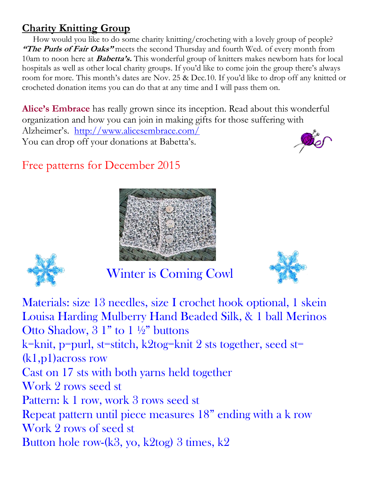### **Charity Knitting Group**

 How would you like to do some charity knitting/crocheting with a lovely group of people? **"The Purls of Fair Oaks"** meets the second Thursday and fourth Wed. of every month from 10am to noon here at **Babetta's.** This wonderful group of knitters makes newborn hats for local hospitals as well as other local charity groups. If you'd like to come join the group there's always room for more. This month's dates are Nov. 25 & Dec.10. If you'd like to drop off any knitted or crocheted donation items you can do that at any time and I will pass them on.

**Alice's Embrace** has really grown since its inception. Read about this wonderful organization and how you can join in making gifts for those suffering with Alzheimer's. <http://www.alicesembrace.com/> You can drop off your donations at Babetta's.

# Free patterns for December 2015





Winter is Coming Cowl



Materials: size 13 needles, size I crochet hook optional, 1 skein Louisa Harding Mulberry Hand Beaded Silk, & 1 ball Merinos Otto Shadow,  $3 \frac{1}{1}$  to  $1 \frac{1}{2}$  buttons k=knit, p=purl, st=stitch, k2tog=knit 2 sts together, seed st= (k1,p1)across row Cast on 17 sts with both yarns held together Work 2 rows seed st Pattern: k 1 row, work 3 rows seed st Repeat pattern until piece measures 18" ending with a k row Work 2 rows of seed st Button hole row-(k3, yo, k2tog) 3 times, k2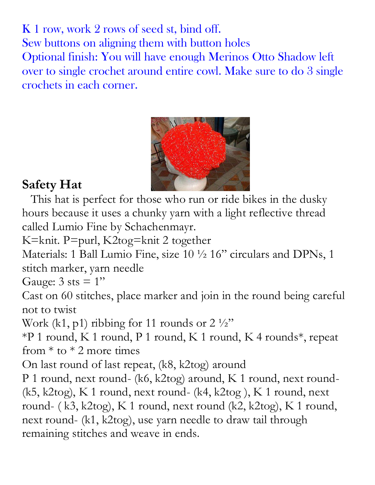K 1 row, work 2 rows of seed st, bind off. Sew buttons on aligning them with button holes Optional finish: You will have enough Merinos Otto Shadow left over to single crochet around entire cowl. Make sure to do 3 single crochets in each corner.



# **Safety Hat**

 This hat is perfect for those who run or ride bikes in the dusky hours because it uses a chunky yarn with a light reflective thread called Lumio Fine by Schachenmayr.

K=knit. P=purl, K2tog=knit 2 together

Materials: 1 Ball Lumio Fine, size 10 ½ 16" circulars and DPNs, 1 stitch marker, yarn needle

Gauge:  $3$  sts =  $1"$ 

Cast on 60 stitches, place marker and join in the round being careful not to twist

Work (k1, p1) ribbing for 11 rounds or  $2 \frac{1}{2}$ "

\*P 1 round, K 1 round, P 1 round, K 1 round, K 4 rounds\*, repeat from  $*$  to  $*$  2 more times

On last round of last repeat, (k8, k2tog) around

P 1 round, next round- (k6, k2tog) around, K 1 round, next round-(k5, k2tog), K 1 round, next round- (k4, k2tog ), K 1 round, next round- ( k3, k2tog), K 1 round, next round (k2, k2tog), K 1 round, next round- (k1, k2tog), use yarn needle to draw tail through remaining stitches and weave in ends.